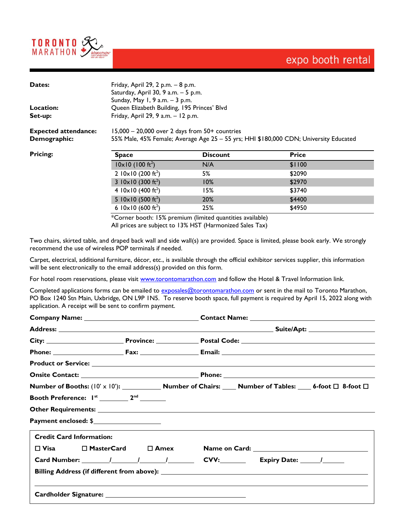

## expo booth rental

| Dates:<br>Location:                         | Friday, April 29, 2 p.m. - 8 p.m.<br>Saturday, April 30, 9 a.m. - 5 p.m.<br>Sunday, May 1, 9 a.m. - 3 p.m.<br>Queen Elizabeth Building, 195 Princes' Blvd |                 |              |  |  |
|---------------------------------------------|-----------------------------------------------------------------------------------------------------------------------------------------------------------|-----------------|--------------|--|--|
| Set-up:                                     | Friday, April 29, 9 a.m. - 12 p.m.                                                                                                                        |                 |              |  |  |
| <b>Expected attendance:</b><br>Demographic: | $15,000 - 20,000$ over 2 days from $50+$ countries<br>55% Male, 45% Female; Average Age 25 - 55 yrs; HHI \$180,000 CDN; University Educated               |                 |              |  |  |
| <b>Pricing:</b>                             | <b>Space</b>                                                                                                                                              | <b>Discount</b> | <b>Price</b> |  |  |
|                                             | $10 \times 10$ (100 ft <sup>2</sup> )                                                                                                                     | N/A             | \$1100       |  |  |
|                                             | 2 $10 \times 10$ (200 ft <sup>2</sup> )                                                                                                                   | 5%              | \$2090       |  |  |
|                                             | 3 $10 \times 10$ (300 ft <sup>2</sup> )                                                                                                                   | 10%             | \$2970       |  |  |
|                                             | 4 $10 \times 10$ (400 ft <sup>2</sup> )                                                                                                                   | 15%             | \$3740       |  |  |
|                                             | 5 $10 \times 10$ (500 ft <sup>2</sup> )                                                                                                                   | 20%             | \$4400       |  |  |
|                                             | 6 $10 \times 10$ (600 ft <sup>2</sup> )                                                                                                                   | 25%             | \$4950       |  |  |

\*Corner booth: 15% premium (limited quantities available) All prices are subject to 13% HST (Harmonized Sales Tax)

Two chairs, skirted table, and draped back wall and side wall(s) are provided. Space is limited, please book early. We strongly recommend the use of wireless POP terminals if needed.

Carpet, electrical, additional furniture, décor, etc., is available through the official exhibitor services supplier, this information will be sent electronically to the email address(s) provided on this form.

For hotel room reservations, please visit [www.torontomarathon.com](http://www.torontomarathon.com/) and follow the Hotel & Travel Information link.

Completed applications forms can be emailed to [exposales@torontomarathon.com](mailto:exposales@torontomarathon.com) or sent in the mail to Toronto Marathon, PO Box 1240 Stn Main, Uxbridge, ON L9P 1N5. To reserve booth space, full payment is required by April 15, 2022 along with application. A receipt will be sent to confirm payment.

|                                 |                                                    | Number of Booths: $(10' \times 10')$ : Number of Chairs: Number of Tables: 6-foot $\Box$ 8-foot $\Box$ |
|---------------------------------|----------------------------------------------------|--------------------------------------------------------------------------------------------------------|
|                                 |                                                    |                                                                                                        |
|                                 |                                                    |                                                                                                        |
| Payment enclosed: \$            |                                                    |                                                                                                        |
| <b>Credit Card Information:</b> |                                                    |                                                                                                        |
|                                 | $\square$ Visa $\square$ MasterCard $\square$ Amex |                                                                                                        |
|                                 |                                                    | Card Number: 1 1 1 1 1 CVV: Expiry Date: 1                                                             |
|                                 |                                                    |                                                                                                        |
|                                 |                                                    |                                                                                                        |
|                                 |                                                    |                                                                                                        |